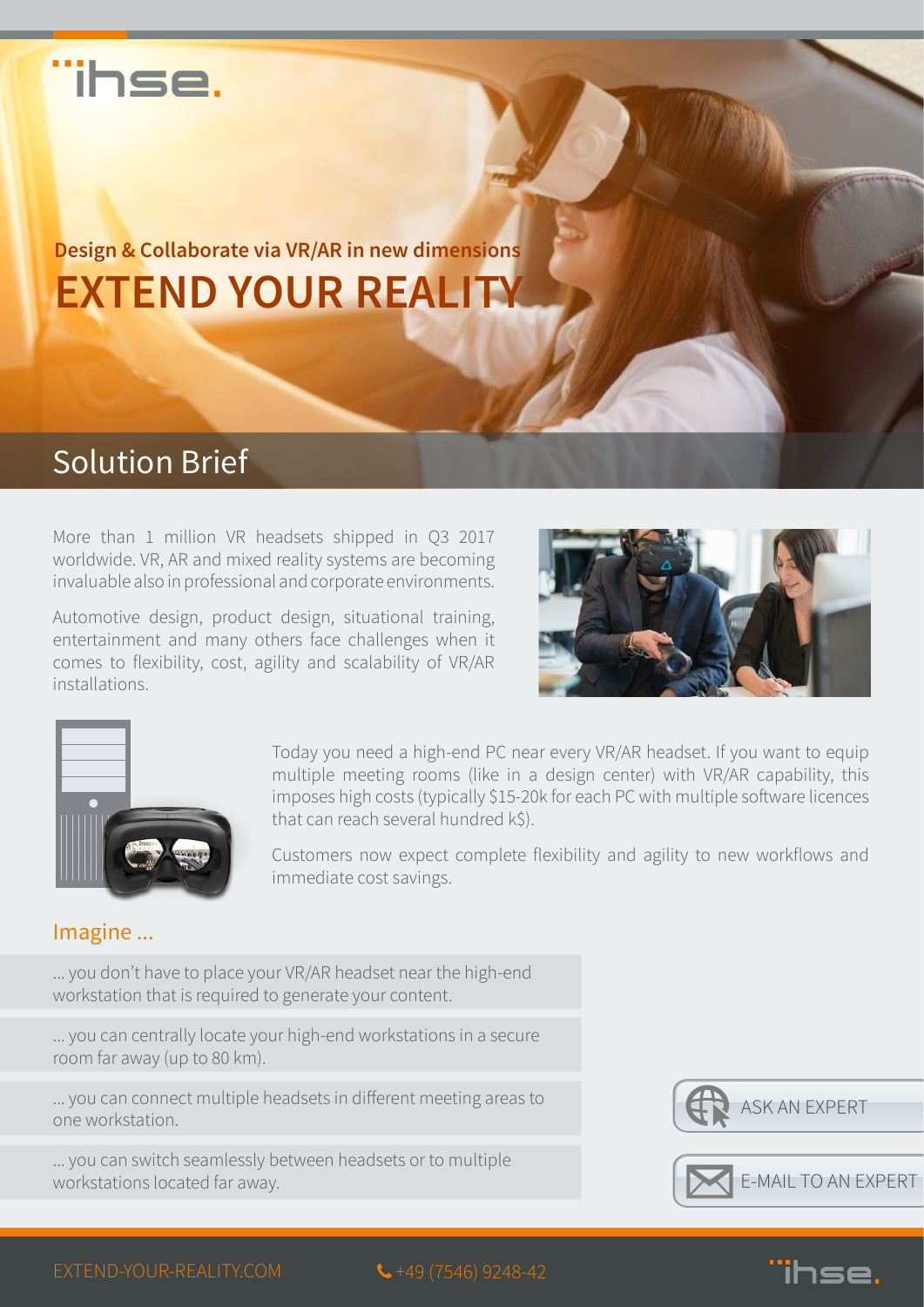## ihse.

**EXTEND YOUR REALITY Design & Collaborate via VR/AR in new dimensions**

## Solution Brief

More than 1 million VR headsets shipped in Q3 2017 worldwide. VR, AR and mixed reality systems are becoming invaluable also in professional and corporate environments.

Automotive design, product design, situational training, entertainment and many others face challenges when it comes to flexibility, cost, agility and scalability of VR/AR installations.





Today you need a high-end PC near every VR/AR headset. If you want to equip multiple meeting rooms (like in a design center) with VR/AR capability, this imposes high costs (typically \$15-20k for each PC with multiple software licences that can reach several hundred k\$).

Customers now expect complete flexibility and agility to new workflows and immediate cost savings.

#### Imagine ...

... you don't have to place your VR/AR headset near the high-end workstation that is required to generate your content.

... you can centrally locate your high-end workstations in a secure room far away (up to 80 km).

... you can connect multiple headsets in different meeting areas to one workstation.

... you can switch seamlessly between headsets or to multiple workstations located far away.





 $\overline{\text{ }+49}$  (7546) 9248-42

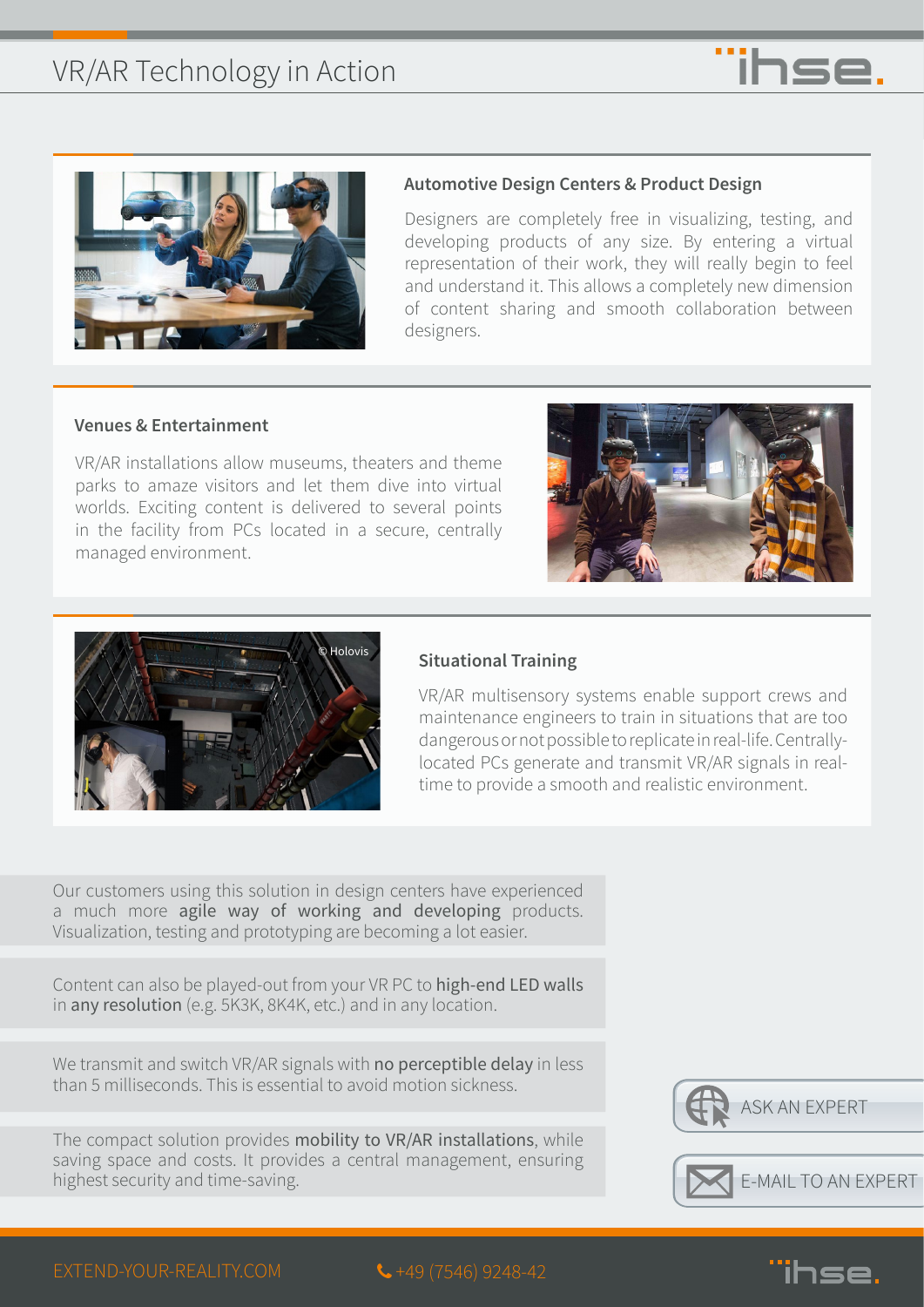



#### **Automotive Design Centers & Product Design**

Designers are completely free in visualizing, testing, and developing products of any size. By entering a virtual representation of their work, they will really begin to feel and understand it. This allows a completely new dimension of content sharing and smooth collaboration between designers.

#### **Venues & Entertainment**

VR/AR installations allow museums, theaters and theme parks to amaze visitors and let them dive into virtual worlds. Exciting content is delivered to several points in the facility from PCs located in a secure, centrally managed environment.





#### **Situational Training**

VR/AR multisensory systems enable support crews and maintenance engineers to train in situations that are too dangerous or not possible to replicate in real-life. Centrallylocated PCs generate and transmit VR/AR signals in realtime to provide a smooth and realistic environment.

Our customers using this solution in design centers have experienced a much more agile way of working and developing products. Visualization, testing and prototyping are becoming a lot easier.

Content can also be played-out from your VR PC to high-end LED walls in any resolution (e.g. 5K3K, 8K4K, etc.) and in any location.

We transmit and switch VR/AR signals with no perceptible delay in less than 5 milliseconds. This is essential to avoid motion sickness.

The compact solution provides mobility to VR/AR installations, while saving space and costs. It provides a central management, ensuring highest security and time-saving.





 $\leftarrow$  +49 (7546) 9248-42

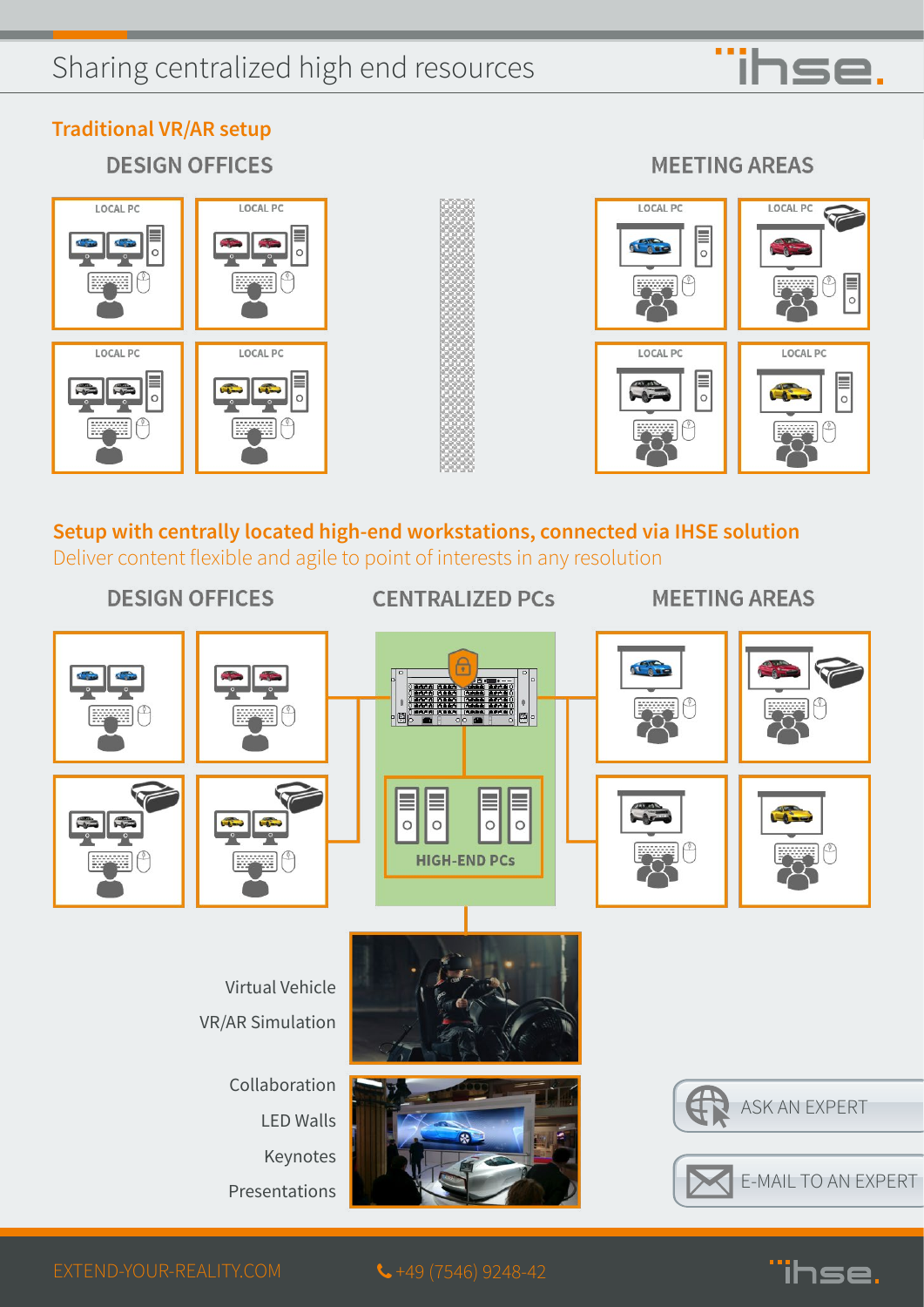## Sharing centralized high end resources



**Traditional VR/AR setup**

**DESIGN OFFICES** 

# **LOCAL PC** LOCAL PC LOCAL PC **LOCAL PC**  $\frac{1}{2}$



#### **MEETING AREAS**



#### **Setup with centrally located high-end workstations, connected via IHSE solution** Deliver content flexible and agile to point of interests in any resolution

#### **DESIGN OFFICES**

#### **CENTRALIZED PCs**

#### **MEETING AREAS**



 $\leftarrow$  +49 (7546) 9248-42